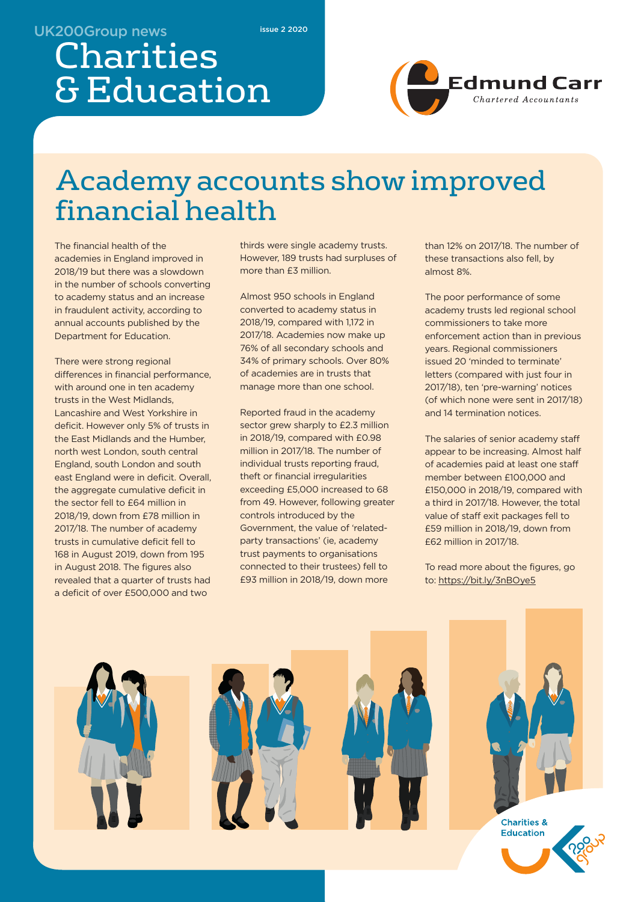#### UK200Group news

issue 2 2020

# Charities & Education



## Academy accounts show improved financial health

The financial health of the academies in England improved in 2018/19 but there was a slowdown in the number of schools converting to academy status and an increase in fraudulent activity, according to annual accounts published by the Department for Education.

There were strong regional differences in financial performance, with around one in ten academy trusts in the West Midlands, Lancashire and West Yorkshire in deficit. However only 5% of trusts in the East Midlands and the Humber, north west London, south central England, south London and south east England were in deficit. Overall, the aggregate cumulative deficit in the sector fell to £64 million in 2018/19, down from £78 million in 2017/18. The number of academy trusts in cumulative deficit fell to 168 in August 2019, down from 195 in August 2018. The figures also revealed that a quarter of trusts had a deficit of over £500,000 and two

thirds were single academy trusts. However, 189 trusts had surpluses of more than £3 million.

Almost 950 schools in England converted to academy status in 2018/19, compared with 1,172 in 2017/18. Academies now make up 76% of all secondary schools and 34% of primary schools. Over 80% of academies are in trusts that manage more than one school.

Reported fraud in the academy sector grew sharply to £2.3 million in 2018/19, compared with £0.98 million in 2017/18. The number of individual trusts reporting fraud, theft or financial irregularities exceeding £5,000 increased to 68 from 49. However, following greater controls introduced by the Government, the value of 'relatedparty transactions' (ie, academy trust payments to organisations connected to their trustees) fell to £93 million in 2018/19, down more

than 12% on 2017/18. The number of these transactions also fell, by almost 8%.

The poor performance of some academy trusts led regional school commissioners to take more enforcement action than in previous years. Regional commissioners issued 20 'minded to terminate' letters (compared with just four in 2017/18), ten 'pre-warning' notices (of which none were sent in 2017/18) and 14 termination notices.

The salaries of senior academy staff appear to be increasing. Almost half of academies paid at least one staff member between £100,000 and £150,000 in 2018/19, compared with a third in 2017/18. However, the total value of staff exit packages fell to £59 million in 2018/19, down from £62 million in 2017/18.

To read more about the figures, go to: https://bit.ly/3nBOye5

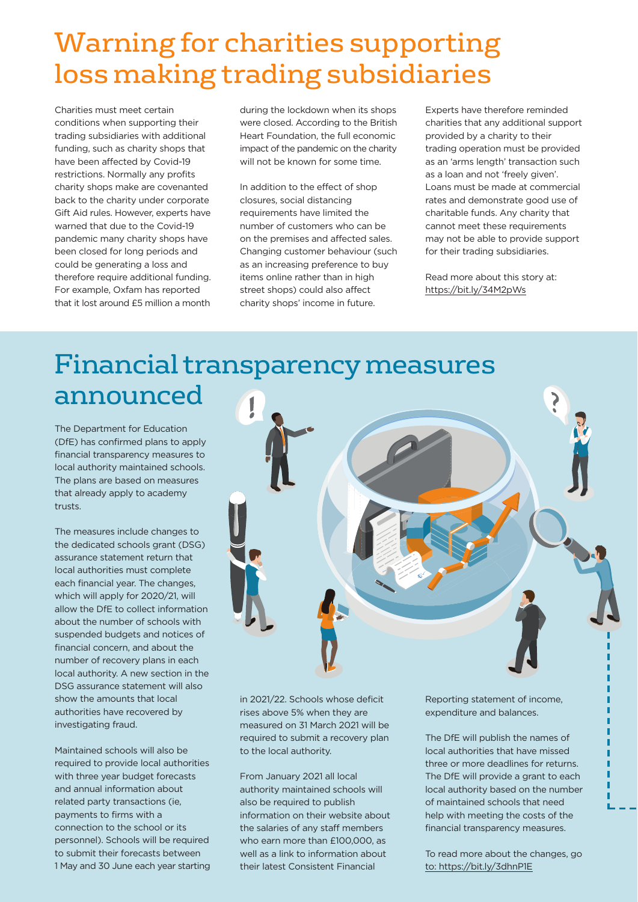## Warning for charities supporting loss making trading subsidiaries

Charities must meet certain conditions when supporting their trading subsidiaries with additional funding, such as charity shops that have been affected by Covid-19 restrictions. Normally any profits charity shops make are covenanted back to the charity under corporate Gift Aid rules. However, experts have warned that due to the Covid-19 pandemic many charity shops have been closed for long periods and could be generating a loss and therefore require additional funding. For example, Oxfam has reported that it lost around £5 million a month

during the lockdown when its shops were closed. According to the British Heart Foundation, the full economic impact of the pandemic on the charity will not be known for some time.

In addition to the effect of shop closures, social distancing requirements have limited the number of customers who can be on the premises and affected sales. Changing customer behaviour (such as an increasing preference to buy items online rather than in high street shops) could also affect charity shops' income in future.

Experts have therefore reminded charities that any additional support provided by a charity to their trading operation must be provided as an 'arms length' transaction such as a loan and not 'freely given'. Loans must be made at commercial rates and demonstrate good use of charitable funds. Any charity that cannot meet these requirements may not be able to provide support for their trading subsidiaries.

Read more about this story at: https://bit.ly/34M2pWs

### Financial transparency measures announced

The Department for Education (DfE) has confirmed plans to apply financial transparency measures to local authority maintained schools. The plans are based on measures that already apply to academy trusts.

The measures include changes to the dedicated schools grant (DSG) assurance statement return that local authorities must complete each financial year. The changes, which will apply for 2020/21, will allow the DfE to collect information about the number of schools with suspended budgets and notices of financial concern, and about the number of recovery plans in each local authority. A new section in the DSG assurance statement will also show the amounts that local authorities have recovered by investigating fraud.

Maintained schools will also be required to provide local authorities with three year budget forecasts and annual information about related party transactions (ie, payments to firms with a connection to the school or its personnel). Schools will be required to submit their forecasts between 1 May and 30 June each year starting



in 2021/22. Schools whose deficit rises above 5% when they are measured on 31 March 2021 will be required to submit a recovery plan to the local authority.

From January 2021 all local authority maintained schools will also be required to publish information on their website about the salaries of any staff members who earn more than £100,000, as well as a link to information about their latest Consistent Financial

Reporting statement of income, expenditure and balances.

The DfE will publish the names of local authorities that have missed three or more deadlines for returns. The DfE will provide a grant to each local authority based on the number of maintained schools that need help with meeting the costs of the financial transparency measures.

To read more about the changes, go to: https://bit.ly/3dhnP1E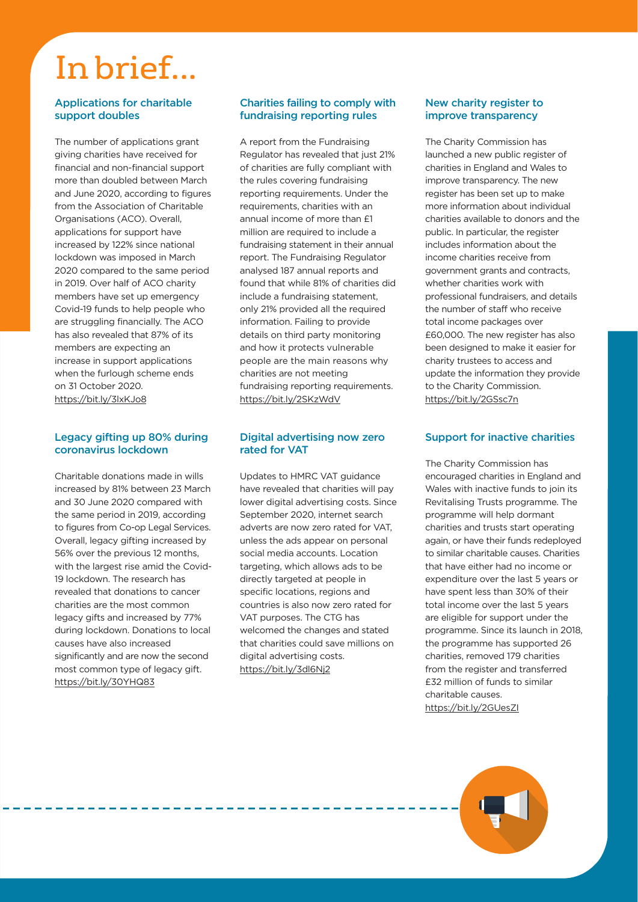# In brief...

#### Applications for charitable support doubles

The number of applications grant giving charities have received for financial and non-financial support more than doubled between March and June 2020, according to figures from the Association of Charitable Organisations (ACO). Overall, applications for support have increased by 122% since national lockdown was imposed in March 2020 compared to the same period in 2019. Over half of ACO charity members have set up emergency Covid-19 funds to help people who are struggling financially. The ACO has also revealed that 87% of its members are expecting an increase in support applications when the furlough scheme ends on 31 October 2020. https://bit.ly/3lxKJo8

#### Legacy gifting up 80% during coronavirus lockdown

Charitable donations made in wills increased by 81% between 23 March and 30 June 2020 compared with the same period in 2019, according to figures from Co-op Legal Services. Overall, legacy gifting increased by 56% over the previous 12 months, with the largest rise amid the Covid-19 lockdown. The research has revealed that donations to cancer charities are the most common legacy gifts and increased by 77% during lockdown. Donations to local causes have also increased significantly and are now the second most common type of legacy gift. https://bit.ly/30YHQ83

#### Charities failing to comply with fundraising reporting rules

A report from the Fundraising Regulator has revealed that just 21% of charities are fully compliant with the rules covering fundraising reporting requirements. Under the requirements, charities with an annual income of more than £1 million are required to include a fundraising statement in their annual report. The Fundraising Regulator analysed 187 annual reports and found that while 81% of charities did include a fundraising statement, only 21% provided all the required information. Failing to provide details on third party monitoring and how it protects vulnerable people are the main reasons why charities are not meeting fundraising reporting requirements. https://bit.ly/2SKzWdV

#### Digital advertising now zero rated for VAT

Updates to HMRC VAT guidance have revealed that charities will pay lower digital advertising costs. Since September 2020, internet search adverts are now zero rated for VAT, unless the ads appear on personal social media accounts. Location targeting, which allows ads to be directly targeted at people in specific locations, regions and countries is also now zero rated for VAT purposes. The CTG has welcomed the changes and stated that charities could save millions on digital advertising costs. https://bit.ly/3dl6Nj2

#### New charity register to improve transparency

The Charity Commission has launched a new public register of charities in England and Wales to improve transparency. The new register has been set up to make more information about individual charities available to donors and the public. In particular, the register includes information about the income charities receive from government grants and contracts, whether charities work with professional fundraisers, and details the number of staff who receive total income packages over £60,000. The new register has also been designed to make it easier for charity trustees to access and update the information they provide to the Charity Commission. https://bit.ly/2GSsc7n

#### Support for inactive charities

The Charity Commission has encouraged charities in England and Wales with inactive funds to join its Revitalising Trusts programme. The programme will help dormant charities and trusts start operating again, or have their funds redeployed to similar charitable causes. Charities that have either had no income or expenditure over the last 5 years or have spent less than 30% of their total income over the last 5 years are eligible for support under the programme. Since its launch in 2018, the programme has supported 26 charities, removed 179 charities from the register and transferred £32 million of funds to similar charitable causes. https://bit.ly/2GUesZI